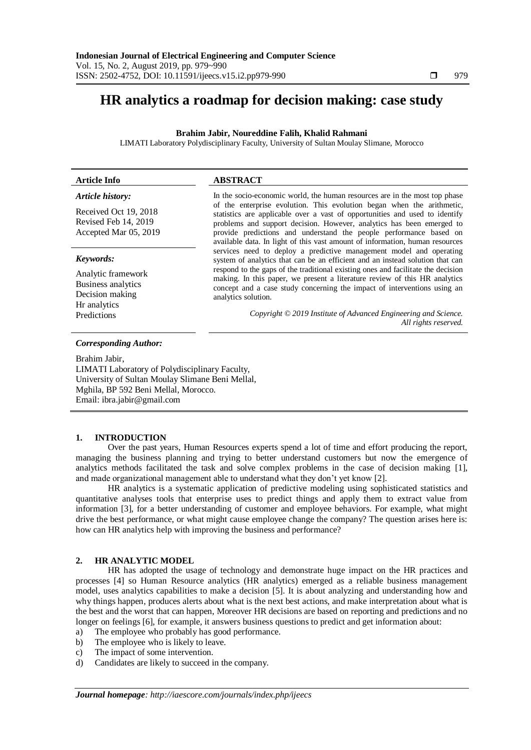# **HR analytics a roadmap for decision making: case study**

# **Brahim Jabir, Noureddine Falih, Khalid Rahmani**

LIMATI Laboratory Polydisciplinary Faculty, University of Sultan Moulay Slimane, Morocco

| <b>Article Info</b>                                                         | <b>ABSTRACT</b>                                                                                                                                                                                                                                                                                                                                                                      |
|-----------------------------------------------------------------------------|--------------------------------------------------------------------------------------------------------------------------------------------------------------------------------------------------------------------------------------------------------------------------------------------------------------------------------------------------------------------------------------|
| Article history:                                                            | In the socio-economic world, the human resources are in the most top phase                                                                                                                                                                                                                                                                                                           |
| Received Oct 19, 2018<br>Revised Feb 14, 2019<br>Accepted Mar 05, 2019      | of the enterprise evolution. This evolution began when the arithmetic,<br>statistics are applicable over a vast of opportunities and used to identify<br>problems and support decision. However, analytics has been emerged to<br>provide predictions and understand the people performance based on<br>available data. In light of this vast amount of information, human resources |
| Keywords:                                                                   | services need to deploy a predictive management model and operating<br>system of analytics that can be an efficient and an instead solution that can                                                                                                                                                                                                                                 |
| Analytic framework<br>Business analytics<br>Decision making<br>Hr analytics | respond to the gaps of the traditional existing ones and facilitate the decision<br>making. In this paper, we present a literature review of this HR analytics<br>concept and a case study concerning the impact of interventions using an<br>analytics solution.                                                                                                                    |
| Predictions                                                                 | Copyright © 2019 Institute of Advanced Engineering and Science.<br>All rights reserved.                                                                                                                                                                                                                                                                                              |

## *Corresponding Author:*

Brahim Jabir, LIMATI Laboratory of Polydisciplinary Faculty, University of Sultan Moulay Slimane Beni Mellal, Mghila, BP 592 Beni Mellal, Morocco. Email: ibra.jabir@gmail.com

## **1. INTRODUCTION**

Over the past years, Human Resources experts spend a lot of time and effort producing the report, managing the business planning and trying to better understand customers but now the emergence of analytics methods facilitated the task and solve complex problems in the case of decision making [1], and made organizational management able to understand what they don't yet know [2].

HR analytics is a systematic application of predictive modeling using sophisticated statistics and quantitative analyses tools that enterprise uses to predict things and apply them to extract value from information [3], for a better understanding of customer and employee behaviors. For example, what might drive the best performance, or what might cause employee change the company? The question arises here is: how can HR analytics help with improving the business and performance?

# **2. HR ANALYTIC MODEL**

HR has adopted the usage of technology and demonstrate huge impact on the HR practices and processes [4] so Human Resource analytics (HR analytics) emerged as a reliable business management model, uses analytics capabilities to make a decision [5]. It is about analyzing and understanding how and why things happen, produces alerts about what is the next best actions, and make interpretation about what is the best and the worst that can happen, Moreover HR decisions are based on reporting and predictions and no longer on feelings [6], for example, it answers business questions to predict and get information about:

- a) The employee who probably has good performance.
- b) The employee who is likely to leave.
- c) The impact of some intervention.
- d) Candidates are likely to succeed in the company.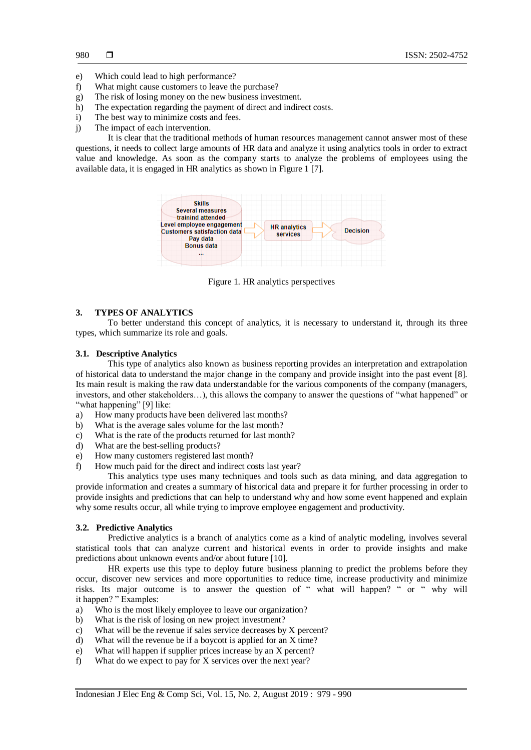- e) Which could lead to high performance?
- f) What might cause customers to leave the purchase?
- g) The risk of losing money on the new business investment.
- h) The expectation regarding the payment of direct and indirect costs.
- i) The best way to minimize costs and fees.
- j) The impact of each intervention.

It is clear that the traditional methods of human resources management cannot answer most of these questions, it needs to collect large amounts of HR data and analyze it using analytics tools in order to extract value and knowledge. As soon as the company starts to analyze the problems of employees using the available data, it is engaged in HR analytics as shown in Figure 1 [7].



Figure 1. HR analytics perspectives

# **3. TYPES OF ANALYTICS**

To better understand this concept of analytics, it is necessary to understand it, through its three types, which summarize its role and goals.

#### **3.1. Descriptive Analytics**

This type of analytics also known as business reporting provides an interpretation and extrapolation of historical data to understand the major change in the company and provide insight into the past event [8]. Its main result is making the raw data understandable for the various components of the company (managers, investors, and other stakeholders…), this allows the company to answer the questions of "what happened" or "what happening" [9] like:

- a) How many products have been delivered last months?
- b) What is the average sales volume for the last month?
- c) What is the rate of the products returned for last month?
- d) What are the best-selling products?
- e) How many customers registered last month?
- f) How much paid for the direct and indirect costs last year?

This analytics type uses many techniques and tools such as data mining, and data aggregation to provide information and creates a summary of historical data and prepare it for further processing in order to provide insights and predictions that can help to understand why and how some event happened and explain why some results occur, all while trying to improve employee engagement and productivity.

#### **3.2. Predictive Analytics**

Predictive analytics is a branch of analytics come as a kind of analytic modeling, involves several statistical tools that can analyze current and historical events in order to provide insights and make predictions about unknown events and/or about future [10].

HR experts use this type to deploy future business planning to predict the problems before they occur, discover new services and more opportunities to reduce time, increase productivity and minimize risks. Its major outcome is to answer the question of " what will happen? " or " why will it happen? " Examples:

- a) Who is the most likely employee to leave our organization?
- b) What is the risk of losing on new project investment?
- c) What will be the revenue if sales service decreases by X percent?
- d) What will the revenue be if a boycott is applied for an X time?
- e) What will happen if supplier prices increase by an X percent?
- f) What do we expect to pay for X services over the next year?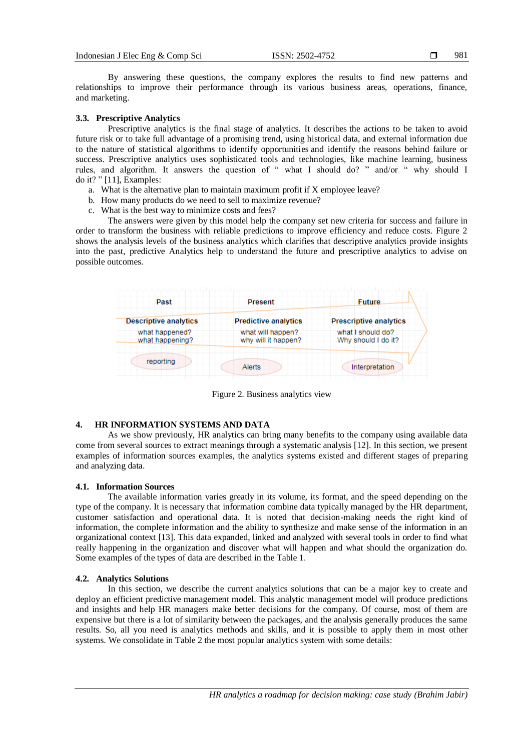By answering these questions, the company explores the results to find new patterns and relationships to improve their performance through its various business areas, operations, finance, and marketing.

## **3.3. Prescriptive Analytics**

Prescriptive analytics is the final stage of analytics. It describes the actions to be taken to avoid future risk or to take full advantage of a promising trend, using historical data, and external information due to the nature of statistical algorithms to identify opportunities and identify the reasons behind failure or success. Prescriptive analytics uses sophisticated tools and technologies, like machine learning, business rules, and algorithm. It answers the question of " what I should do? " and/or " why should I do it? " [11], Examples:

- a. What is the alternative plan to maintain maximum profit if X employee leave?
- b. How many products do we need to sell to maximize revenue?
- c. What is the best way to minimize costs and fees?

The answers were given by this model help the company set new criteria for success and failure in order to transform the business with reliable predictions to improve efficiency and reduce costs. Figure 2 shows the analysis levels of the business analytics which clarifies that descriptive analytics provide insights into the past, predictive Analytics help to understand the future and prescriptive analytics to advise on possible outcomes.

| Past                              | <b>Present</b>                           | <b>Future</b>                            |
|-----------------------------------|------------------------------------------|------------------------------------------|
| <b>Descriptive analytics</b>      | <b>Predictive analytics</b>              | <b>Prescriptive analytics</b>            |
| what happened?<br>what happening? | what will happen?<br>why will it happen? | what I should do?<br>Why should I do it? |
| reporting                         | Alerts                                   | Interpretation                           |

Figure 2. Business analytics view

## **4. HR INFORMATION SYSTEMS AND DATA**

As we show previously, HR analytics can bring many benefits to the company using available data come from several sources to extract meanings through a systematic analysis [12]. In this section, we present examples of information sources examples, the analytics systems existed and different stages of preparing and analyzing data.

# **4.1. Information Sources**

The available information varies greatly in its volume, its format, and the speed depending on the type of the company. It is necessary that information combine data typically managed by the HR department, customer satisfaction and operational data. It is noted that decision-making needs the right kind of information, the complete information and the ability to synthesize and make sense of the information in an organizational context [13]. This data expanded, linked and analyzed with several tools in order to find what really happening in the organization and discover what will happen and what should the organization do. Some examples of the types of data are described in the Table 1.

# **4.2. Analytics Solutions**

In this section, we describe the current analytics solutions that can be a major key to create and deploy an efficient predictive management model. This analytic management model will produce predictions and insights and help HR managers make better decisions for the company. Of course, most of them are expensive but there is a lot of similarity between the packages, and the analysis generally produces the same results. So, all you need is analytics methods and skills, and it is possible to apply them in most other systems. We consolidate in Table 2 the most popular analytics system with some details: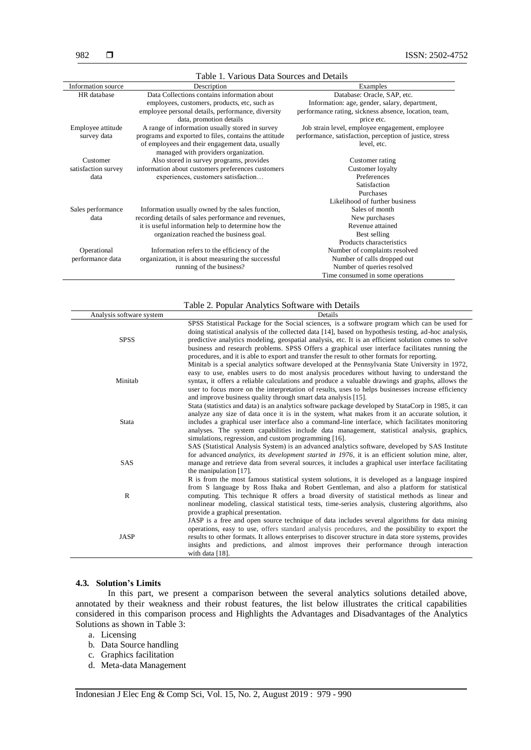| Table 1. Various Data Sources and Details |                                                                                         |                                                          |  |  |
|-------------------------------------------|-----------------------------------------------------------------------------------------|----------------------------------------------------------|--|--|
| Information source                        | Description                                                                             | Examples                                                 |  |  |
| HR database                               | Data Collections contains information about                                             | Database: Oracle, SAP, etc.                              |  |  |
|                                           | employees, customers, products, etc, such as                                            | Information: age, gender, salary, department,            |  |  |
|                                           | employee personal details, performance, diversity                                       | performance rating, sickness absence, location, team,    |  |  |
|                                           | data, promotion details                                                                 | price etc.                                               |  |  |
| Employee attitude                         | A range of information usually stored in survey                                         | Job strain level, employee engagement, employee          |  |  |
| survey data                               | programs and exported to files, contains the attitude                                   | performance, satisfaction, perception of justice, stress |  |  |
|                                           | of employees and their engagement data, usually<br>managed with providers organization. | level, etc.                                              |  |  |
| Customer                                  | Also stored in survey programs, provides                                                | Customer rating                                          |  |  |
| satisfaction survey                       | information about customers preferences customers                                       | Customer loyalty                                         |  |  |
| data                                      | experiences, customers satisfaction                                                     | Preferences                                              |  |  |
|                                           |                                                                                         | Satisfaction                                             |  |  |
|                                           |                                                                                         | Purchases                                                |  |  |
|                                           |                                                                                         | Likelihood of further business                           |  |  |
| Sales performance                         | Information usually owned by the sales function,                                        | Sales of month                                           |  |  |
| data                                      | recording details of sales performance and revenues,                                    | New purchases                                            |  |  |
|                                           | it is useful information help to determine how the                                      | Revenue attained                                         |  |  |
|                                           | organization reached the business goal.                                                 | Best selling                                             |  |  |
|                                           |                                                                                         | Products characteristics                                 |  |  |
| Operational                               | Information refers to the efficiency of the                                             | Number of complaints resolved                            |  |  |
| performance data                          | organization, it is about measuring the successful                                      | Number of calls dropped out                              |  |  |
|                                           | running of the business?                                                                | Number of queries resolved                               |  |  |
|                                           |                                                                                         | Time consumed in some operations                         |  |  |

|                          | Table 2. Popular Analytics Software with Details                                                                                                                                                                                                                                                                                                                                                                                                                                                               |
|--------------------------|----------------------------------------------------------------------------------------------------------------------------------------------------------------------------------------------------------------------------------------------------------------------------------------------------------------------------------------------------------------------------------------------------------------------------------------------------------------------------------------------------------------|
| Analysis software system | Details                                                                                                                                                                                                                                                                                                                                                                                                                                                                                                        |
| <b>SPSS</b>              | SPSS Statistical Package for the Social sciences, is a software program which can be used for<br>doing statistical analysis of the collected data [14], based on hypothesis testing, ad-hoc analysis,<br>predictive analytics modeling, geospatial analysis, etc. It is an efficient solution comes to solve<br>business and research problems. SPSS Offers a graphical user interface facilitates running the<br>procedures, and it is able to export and transfer the result to other formats for reporting. |
| Minitab                  | Minitab is a special analytics software developed at the Pennsylvania State University in 1972,<br>easy to use, enables users to do most analysis procedures without having to understand the<br>syntax, it offers a reliable calculations and produce a valuable drawings and graphs, allows the<br>user to focus more on the interpretation of results, uses to helps businesses increase efficiency<br>and improve business quality through smart data analysis [15].                                       |
| Stata                    | Stata (statistics and data) is an analytics software package developed by StataCorp in 1985, it can<br>analyze any size of data once it is in the system, what makes from it an accurate solution, it<br>includes a graphical user interface also a command-line interface, which facilitates monitoring<br>analyses. The system capabilities include data management, statistical analysis, graphics,<br>simulations, regression, and custom programming [16].                                                |
| SAS                      | SAS (Statistical Analysis System) is an advanced analytics software, developed by SAS Institute<br>for advanced <i>analytics</i> , <i>its development started in 1976</i> , it is an efficient solution mine, alter,<br>manage and retrieve data from several sources, it includes a graphical user interface facilitating<br>the manipulation $[17]$ .                                                                                                                                                        |
| $\mathbb{R}$             | R is from the most famous statistical system solutions, it is developed as a language inspired<br>from S language by Ross Ihaka and Robert Gentleman, and also a platform for statistical<br>computing. This technique R offers a broad diversity of statistical methods as linear and<br>nonlinear modeling, classical statistical tests, time-series analysis, clustering algorithms, also<br>provide a graphical presentation.                                                                              |
| JASP                     | JASP is a free and open source technique of data includes several algorithms for data mining<br>operations, easy to use, offers standard analysis procedures, and the possibility to export the<br>results to other formats. It allows enterprises to discover structure in data store systems, provides<br>insights and predictions, and almost improves their performance through interaction<br>with data [18].                                                                                             |

# **4.3. Solution's Limits**

In this part, we present a comparison between the several analytics solutions detailed above, annotated by their weakness and their robust features, the list below illustrates the critical capabilities considered in this comparison process and Highlights the Advantages and Disadvantages of the Analytics Solutions as shown in Table 3:

- a. Licensing
- b. Data Source handling
- c. Graphics facilitation
- d. Meta-data Management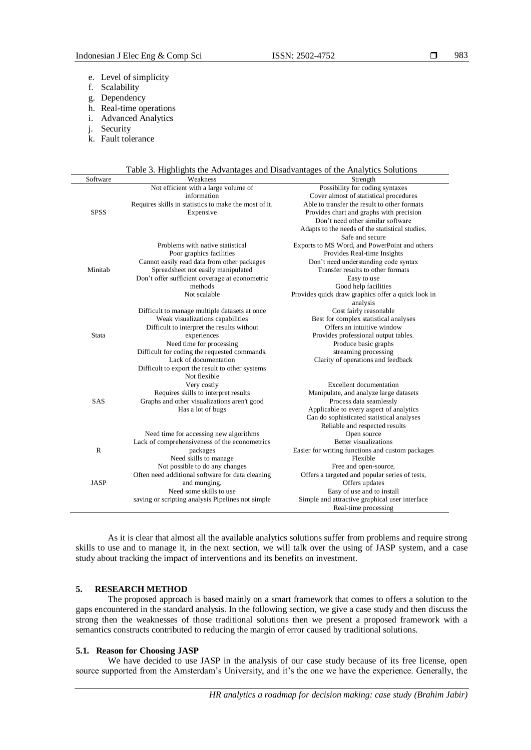- e. Level of simplicity
- f. Scalability
- g. Dependency
- h. Real-time operations
- i. Advanced Analytics
- j. Security
- k. Fault tolerance

|  | Table 3. Highlights the Advantages and Disadvantages of the Analytics Solutions |
|--|---------------------------------------------------------------------------------|
|  |                                                                                 |

| Software     | Weakness                                              | Strength                                           |
|--------------|-------------------------------------------------------|----------------------------------------------------|
|              | Not efficient with a large volume of                  | Possibility for coding syntaxes                    |
|              | information                                           | Cover almost of statistical procedures             |
|              | Requires skills in statistics to make the most of it. | Able to transfer the result to other formats       |
| <b>SPSS</b>  | Expensive                                             | Provides chart and graphs with precision           |
|              |                                                       | Don't need other similar software                  |
|              |                                                       | Adapts to the needs of the statistical studies.    |
|              |                                                       | Safe and secure                                    |
|              | Problems with native statistical                      | Exports to MS Word, and PowerPoint and others      |
|              | Poor graphics facilities                              | Provides Real-time Insights                        |
|              | Cannot easily read data from other packages           | Don't need understanding code syntax               |
| Minitab      | Spreadsheet not easily manipulated                    | Transfer results to other formats                  |
|              | Don't offer sufficient coverage at econometric        | Easy to use                                        |
|              | methods                                               | Good help facilities                               |
|              | Not scalable                                          | Provides quick draw graphics offer a quick look in |
|              |                                                       | analysis                                           |
|              | Difficult to manage multiple datasets at once         | Cost fairly reasonable                             |
|              | Weak visualizations capabilities                      | Best for complex statistical analyses              |
|              | Difficult to interpret the results without            | Offers an intuitive window                         |
| Stata        | experiences                                           | Provides professional output tables.               |
|              | Need time for processing                              | Produce basic graphs                               |
|              | Difficult for coding the requested commands.          | streaming processing                               |
|              | Lack of documentation                                 | Clarity of operations and feedback                 |
|              | Difficult to export the result to other systems       |                                                    |
|              | Not flexible                                          |                                                    |
|              | Very costly                                           | <b>Excellent documentation</b>                     |
|              | Requires skills to interpret results                  | Manipulate, and analyze large datasets             |
| <b>SAS</b>   | Graphs and other visualizations aren't good           | Process data seamlessly                            |
|              | Has a lot of bugs                                     | Applicable to every aspect of analytics            |
|              |                                                       | Can do sophisticated statistical analyses          |
|              |                                                       | Reliable and respected results                     |
|              | Need time for accessing new algorithms                | Open source                                        |
|              | Lack of comprehensiveness of the econometrics         | Better visualizations                              |
| $\mathbb{R}$ | packages                                              | Easier for writing functions and custom packages   |
|              | Need skills to manage                                 | Flexible                                           |
|              | Not possible to do any changes                        | Free and open-source,                              |
|              | Often need additional software for data cleaning      | Offers a targeted and popular series of tests,     |
| <b>JASP</b>  | and munging.                                          | Offers updates                                     |
|              | Need some skills to use                               | Easy of use and to install                         |
|              | saving or scripting analysis Pipelines not simple     | Simple and attractive graphical user interface     |
|              |                                                       | Real-time processing                               |

As it is clear that almost all the available analytics solutions suffer from problems and require strong skills to use and to manage it, in the next section, we will talk over the using of JASP system, and a case study about tracking the impact of interventions and its benefits on investment.

# **5. RESEARCH METHOD**

The proposed approach is based mainly on a smart framework that comes to offers a solution to the gaps encountered in the standard analysis. In the following section, we give a case study and then discuss the strong then the weaknesses of those traditional solutions then we present a proposed framework with a semantics constructs contributed to reducing the margin of error caused by traditional solutions.

#### **5.1. Reason for Choosing JASP**

We have decided to use JASP in the analysis of our case study because of its free license, open source supported from the Amsterdam's University, and it's the one we have the experience. Generally, the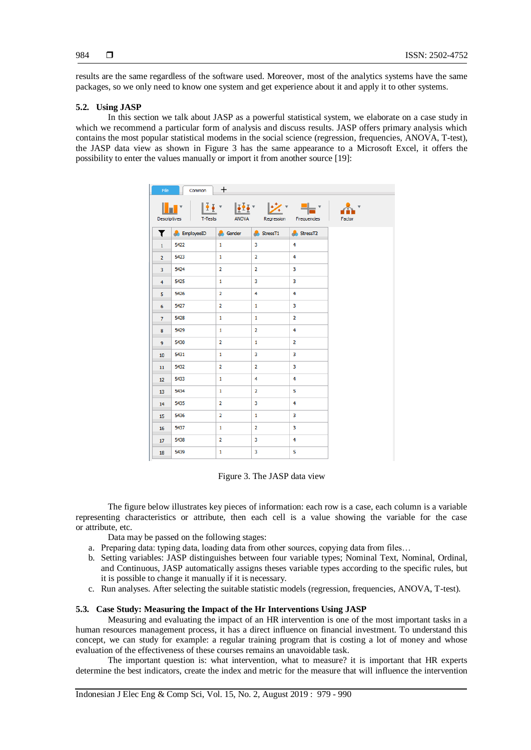results are the same regardless of the software used. Moreover, most of the analytics systems have the same packages, so we only need to know one system and get experience about it and apply it to other systems.

## **5.2. Using JASP**

In this section we talk about JASP as a powerful statistical system, we elaborate on a case study in which we recommend a particular form of analysis and discuss results. JASP offers primary analysis which contains the most popular statistical modems in the social science (regression, frequencies, ANOVA, T-test), the JASP data view as shown in Figure 3 has the same appearance to a Microsoft Excel, it offers the possibility to enter the values manually or import it from another source [19]:

| File                    | $Common$ $+$        |                      |                                                                                      |                |        |
|-------------------------|---------------------|----------------------|--------------------------------------------------------------------------------------|----------------|--------|
|                         | Descriptives        |                      | ▘▏▕ <u>▓</u> ▘▕ <u>▓</u> ▘▕ <del>▓</del> ▝▏▏<br>T-Tests ANOVA Regression Frequencies |                | Factor |
| T                       | <b>C</b> EmployeeID | <b>School</b> Gender | $S$ tressT1                                                                          | StressT2       |        |
| $\mathbf{1}$            | 5422                | $\mathbf{1}$         | 3                                                                                    | $\overline{4}$ |        |
| $\overline{2}$          | 5423                | $\mathbf{1}$         | $\overline{2}$                                                                       | 4              |        |
| $\overline{\mathbf{3}}$ | 5424                | $\overline{2}$       | $\overline{2}$                                                                       | 3              |        |
| $\overline{4}$          | 5425                | $\mathbf{1}$         | 3                                                                                    | 3              |        |
| 5                       | 5426                | $\overline{2}$       | 4                                                                                    | 4              |        |
| 6                       | 5427                | $\overline{2}$       | $\mathbf{1}$                                                                         | 3              |        |
| $\overline{7}$          | 5428                | $\mathbf{1}$         | $\mathbf{1}$                                                                         | 2              |        |
| 8                       | 5429                | $\mathbf{1}$         | $\overline{2}$                                                                       | 4              |        |
| $\overline{9}$          | 5430                | $\overline{2}$       | $\mathbf{1}$                                                                         | $\overline{2}$ |        |
| 10 <sup>10</sup>        | 5431                | $\mathbf{1}$         | 3                                                                                    | 3              |        |
| 11                      | 5432                | $\overline{2}$       | $\overline{2}$                                                                       | 3              |        |
| 12 <sup>2</sup>         | 5433                | $\mathbf{1}$         | 4                                                                                    | 4              |        |
| 13                      | 5434                | $\mathbf{1}$         | $\overline{2}$                                                                       | 5              |        |
| 14                      | 5435                | 2                    | 3                                                                                    | 4              |        |
| 15                      | 5436                | 2                    | $\mathbf{1}$                                                                         | 3              |        |
| 16                      | 5437                | $\mathbf{1}$         | $\overline{2}$                                                                       | 3              |        |
| 17 <sup>2</sup>         | 5438                | $\overline{2}$       | 3                                                                                    | 4              |        |
| 18                      | 5439                | $\mathbf{1}$         | 3                                                                                    | 5              |        |

Figure 3. The JASP data view

The figure below illustrates key pieces of information: each row is a case, each column is a variable representing characteristics or attribute, then each cell is a value showing the variable for the case or attribute, etc.

Data may be passed on the following stages:

- a. Preparing data: typing data, loading data from other sources, copying data from files…
- b. Setting variables: JASP distinguishes between four variable types; Nominal Text, Nominal, Ordinal, and Continuous, JASP automatically assigns theses variable types according to the specific rules, but it is possible to change it manually if it is necessary.
- c. Run analyses. After selecting the suitable statistic models (regression, frequencies, ANOVA, T-test).

## **5.3. Case Study: Measuring the Impact of the Hr Interventions Using JASP**

Measuring and evaluating the impact of an HR intervention is one of the most important tasks in a human resources management process, it has a direct influence on financial investment. To understand this concept, we can study for example: a regular training program that is costing a lot of money and whose evaluation of the effectiveness of these courses remains an unavoidable task.

The important question is: what intervention, what to measure? it is important that HR experts determine the best indicators, create the index and metric for the measure that will influence the intervention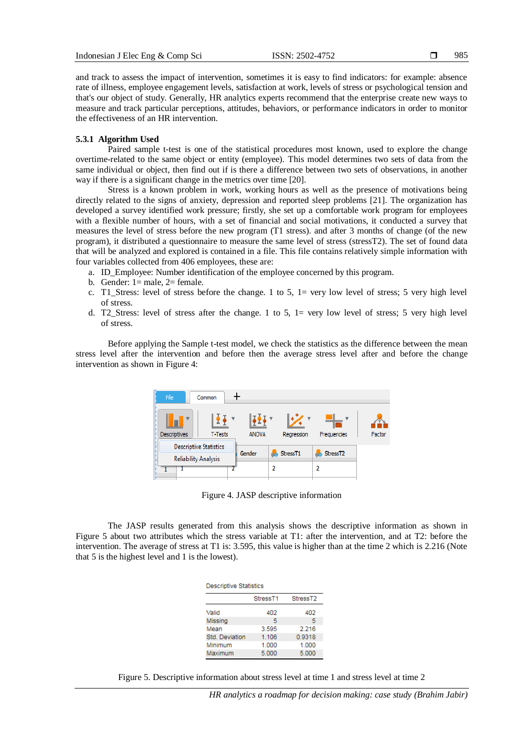and track to assess the impact of intervention, sometimes it is easy to find indicators: for example: absence rate of illness, employee engagement levels, satisfaction at work, levels of stress or psychological tension and that's our object of study. Generally, HR analytics experts recommend that the enterprise create new ways to measure and track particular perceptions, attitudes, behaviors, or performance indicators in order to monitor the effectiveness of an HR intervention.

#### **5.3.1 Algorithm Used**

Paired sample t-test is one of the statistical procedures most known, used to explore the change overtime-related to the same object or entity (employee). This model determines two sets of data from the same individual or object, then find out if is there a difference between two sets of observations, in another way if there is a significant change in the metrics over time [20].

Stress is a known problem in work, working hours as well as the presence of motivations being directly related to the signs of anxiety, depression and reported sleep problems [21]. The organization has developed a survey identified work pressure; firstly, she set up a comfortable work program for employees with a flexible number of hours, with a set of financial and social motivations, it conducted a survey that measures the level of stress before the new program (T1 stress). and after 3 months of change (of the new program), it distributed a questionnaire to measure the same level of stress (stressT2). The set of found data that will be analyzed and explored is contained in a file. This file contains relatively simple information with four variables collected from 406 employees, these are:

- a. ID\_Employee: Number identification of the employee concerned by this program.
- b. Gender:  $1 =$  male,  $2 =$  female.
- c. T1 Stress: level of stress before the change. 1 to 5,  $1=$  very low level of stress; 5 very high level of stress.
- d. T2\_Stress: level of stress after the change. 1 to 5, 1= very low level of stress; 5 very high level of stress.

Before applying the Sample t-test model, we check the statistics as the difference between the mean stress level after the intervention and before then the average stress level after and before the change intervention as shown in Figure 4:

| File<br>Common                                               |              |                      |             |        |
|--------------------------------------------------------------|--------------|----------------------|-------------|--------|
| <b>Descriptives</b><br><b>T-Tests</b>                        | <b>ANOVA</b> | Regression           | Frequencies | Factor |
| <b>Descriptive Statistics</b><br><b>Reliability Analysis</b> | Gender       | Stress <sub>T1</sub> | StressT2    |        |
|                                                              |              | 2                    | 2           |        |

Figure 4. JASP descriptive information

The JASP results generated from this analysis shows the descriptive information as shown in Figure 5 about two attributes which the stress variable at T1: after the intervention, and at T2: before the intervention. The average of stress at T1 is: 3.595, this value is higher than at the time 2 which is 2.216 (Note that 5 is the highest level and 1 is the lowest).

| <b>Descriptive Statistics</b>                |       |        |  |  |  |  |
|----------------------------------------------|-------|--------|--|--|--|--|
| Stress <sub>T1</sub><br>Stress <sub>T2</sub> |       |        |  |  |  |  |
| Valid                                        | 402   | 402    |  |  |  |  |
| Missing                                      | 5     | 5      |  |  |  |  |
| Mean                                         | 3.595 | 2.216  |  |  |  |  |
| Std. Deviation                               | 1.106 | 0.9318 |  |  |  |  |
| Minimum                                      | 1.000 | 1.000  |  |  |  |  |
| Maximum                                      | 5.000 | 5.000  |  |  |  |  |

Figure 5. Descriptive information about stress level at time 1 and stress level at time 2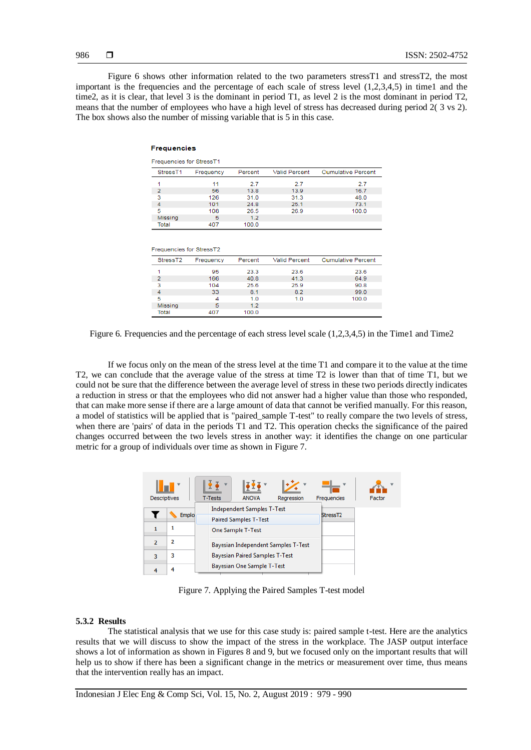Figure 6 shows other information related to the two parameters stressT1 and stressT2, the most important is the frequencies and the percentage of each scale of stress level  $(1,2,3,4,5)$  in time1 and the time2, as it is clear, that level 3 is the dominant in period T1, as level 2 is the most dominant in period T2, means that the number of employees who have a high level of stress has decreased during period 2( 3 vs 2). The box shows also the number of missing variable that is 5 in this case.

#### **Frequencies**

| Frequencies for StressT1 |           |         |                      |                           |  |  |
|--------------------------|-----------|---------|----------------------|---------------------------|--|--|
| Stress <sub>T1</sub>     | Frequency | Percent | <b>Valid Percent</b> | <b>Cumulative Percent</b> |  |  |
|                          | 11        | 2.7     | 27                   | 2.7                       |  |  |
| 2                        | 56        | 13.8    | 13.9                 | 16.7                      |  |  |
| з                        | 126       | 31.0    | 31.3                 | 48.0                      |  |  |
| 4                        | 101       | 24.8    | 25.1                 | 73.1                      |  |  |
| 5                        | 108       | 26.5    | 26.9                 | 100.0                     |  |  |
| <b>Missing</b>           | 5         | 1.2     |                      |                           |  |  |
| Total                    | 107       | 100 $0$ |                      |                           |  |  |

| Frequencies for StressT2 |           |         |                      |                           |  |
|--------------------------|-----------|---------|----------------------|---------------------------|--|
| StressT <sub>2</sub>     | Frequency | Percent | <b>Valid Percent</b> | <b>Cumulative Percent</b> |  |
|                          | 95        | 23.3    | 23.6                 | 23.6                      |  |
| 2                        | 166       | 40.8    | 41.3                 | 64.9                      |  |
| 3                        | 104       | 25.6    | 25.9                 | 90.8                      |  |
| 4                        | 33        | 8.1     | 8.2                  | 99.0                      |  |
| 5                        | 4         | 1.0     | 1.0                  | 100.0                     |  |
| Missing                  | 5         | 1.2     |                      |                           |  |
| Total                    | 407       | 100.0   |                      |                           |  |

Figure 6. Frequencies and the percentage of each stress level scale (1,2,3,4,5) in the Time1 and Time2

If we focus only on the mean of the stress level at the time T1 and compare it to the value at the time T2, we can conclude that the average value of the stress at time T2 is lower than that of time T1, but we could not be sure that the difference between the average level of stress in these two periods directly indicates a reduction in stress or that the employees who did not answer had a higher value than those who responded, that can make more sense if there are a large amount of data that cannot be verified manually. For this reason, a model of statistics will be applied that is "paired\_sample T-test" to really compare the two levels of stress, when there are 'pairs' of data in the periods T1 and T2. This operation checks the significance of the paired changes occurred between the two levels stress in another way: it identifies the change on one particular metric for a group of individuals over time as shown in Figure 7.

| <b>Descriptives</b> |       | T-Tests | <b>ANOVA</b>                                                      | Regression                          | Frequencies          | Factor |
|---------------------|-------|---------|-------------------------------------------------------------------|-------------------------------------|----------------------|--------|
|                     | Emplo |         | <b>Independent Samples T-Test</b><br><b>Paired Samples T-Test</b> |                                     | Stress <sub>T2</sub> |        |
|                     | 1     |         | One Sample T-Test                                                 |                                     |                      |        |
|                     | 2     |         |                                                                   | Bayesian Independent Samples T-Test |                      |        |
| R                   | 3     |         | <b>Bayesian Paired Samples T-Test</b>                             |                                     |                      |        |
|                     |       |         | Bayesian One Sample T-Test                                        |                                     |                      |        |

Figure 7. Applying the Paired Samples T-test model

#### **5.3.2 Results**

The statistical analysis that we use for this case study is: paired sample t-test. Here are the analytics results that we will discuss to show the impact of the stress in the workplace. The JASP output interface shows a lot of information as shown in Figures 8 and 9, but we focused only on the important results that will help us to show if there has been a significant change in the metrics or measurement over time, thus means that the intervention really has an impact.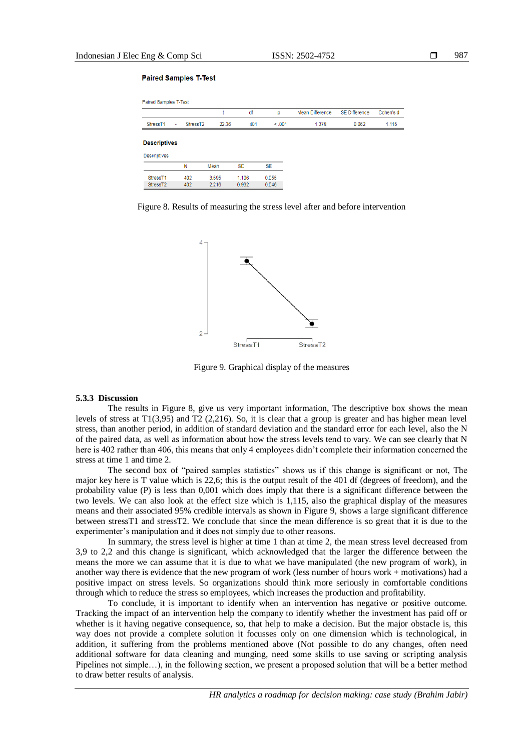#### **Paired Samples T-Test**

|                      |                                |       |       | df        | p         | Mean Difference | <b>SE Difference</b> | Cohen's d |
|----------------------|--------------------------------|-------|-------|-----------|-----------|-----------------|----------------------|-----------|
| Stress <sub>T1</sub> | Stress <sub>T2</sub><br>$\sim$ |       | 22.36 | 401       | < 0.001   | 1.378           | 0.062                | 1.115     |
| <b>Descriptives</b>  |                                |       |       |           |           |                 |                      |           |
| <b>Descriptives</b>  |                                |       |       |           |           |                 |                      |           |
|                      | N                              | Mean  |       | <b>SD</b> | <b>SE</b> |                 |                      |           |
| Stress <sub>T1</sub> | 402                            | 3.595 |       | 1.106     | 0.055     |                 |                      |           |
| Stress <sub>T2</sub> | 402                            | 2.216 |       | 0.932     | 0.046     |                 |                      |           |

Figure 8. Results of measuring the stress level after and before intervention



Figure 9. Graphical display of the measures

# **5.3.3 Discussion**

The results in Figure 8, give us very important information, The descriptive box shows the mean levels of stress at T1(3,95) and T2 (2,216). So, it is clear that a group is greater and has higher mean level stress, than another period, in addition of standard deviation and the standard error for each level, also the N of the paired data, as well as information about how the stress levels tend to vary. We can see clearly that N here is 402 rather than 406, this means that only 4 employees didn't complete their information concerned the stress at time 1 and time 2.

The second box of "paired samples statistics" shows us if this change is significant or not, The major key here is T value which is 22,6; this is the output result of the 401 df (degrees of freedom), and the probability value (P) is less than 0,001 which does imply that there is a significant difference between the two levels. We can also look at the effect size which is 1,115, also the graphical display of the measures means and their associated 95% credible intervals as shown in Figure 9, shows a large significant difference between stressT1 and stressT2. We conclude that since the mean difference is so great that it is due to the experimenter's manipulation and it does not simply due to other reasons.

In summary, the stress level is higher at time 1 than at time 2, the mean stress level decreased from 3,9 to 2,2 and this change is significant, which acknowledged that the larger the difference between the means the more we can assume that it is due to what we have manipulated (the new program of work), in another way there is evidence that the new program of work (less number of hours work + motivations) had a positive impact on stress levels. So organizations should think more seriously in comfortable conditions through which to reduce the stress so employees, which increases the production and profitability.

To conclude, it is important to identify when an intervention has negative or positive outcome. Tracking the impact of an intervention help the company to identify whether the investment has paid off or whether is it having negative consequence, so, that help to make a decision. But the major obstacle is, this way does not provide a complete solution it focusses only on one dimension which is technological, in addition, it suffering from the problems mentioned above (Not possible to do any changes, often need additional software for data cleaning and munging, need some skills to use saving or scripting analysis Pipelines not simple…), in the following section, we present a proposed solution that will be a better method to draw better results of analysis.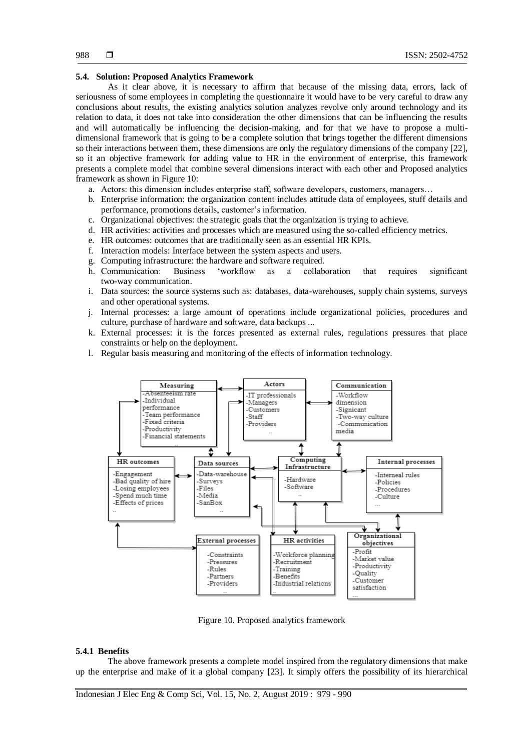#### **5.4. Solution: Proposed Analytics Framework**

As it clear above, it is necessary to affirm that because of the missing data, errors, lack of seriousness of some employees in completing the questionnaire it would have to be very careful to draw any conclusions about results, the existing analytics solution analyzes revolve only around technology and its relation to data, it does not take into consideration the other dimensions that can be influencing the results and will automatically be influencing the decision-making, and for that we have to propose a multidimensional framework that is going to be a complete solution that brings together the different dimensions so their interactions between them, these dimensions are only the regulatory dimensions of the company [22], so it an objective framework for adding value to HR in the environment of enterprise, this framework presents a complete model that combine several dimensions interact with each other and Proposed analytics framework as shown in Figure 10:

- a. Actors: this dimension includes enterprise staff, software developers, customers, managers…
- b. Enterprise information: the organization content includes attitude data of employees, stuff details and performance, promotions details, customer's information.
- c. Organizational objectives: the strategic goals that the organization is trying to achieve.
- d. HR activities: activities and processes which are measured using the so-called efficiency metrics.
- e. HR outcomes: outcomes that are traditionally seen as an essential HR KPIs.
- f. Interaction models: Interface between the system aspects and users.
- g. Computing infrastructure: the hardware and software required.
- h. Communication: Business 'workflow as a collaboration that requires significant two-way communication.
- i. Data sources: the source systems such as: databases, data-warehouses, supply chain systems, surveys and other operational systems.
- j. Internal processes: a large amount of operations include organizational policies, procedures and culture, purchase of hardware and software, data backups ...
- k. External processes: it is the forces presented as external rules, regulations pressures that place constraints or help on the deployment.
- l. Regular basis measuring and monitoring of the effects of information technology.



Figure 10. Proposed analytics framework

#### **5.4.1 Benefits**

The above framework presents a complete model inspired from the regulatory dimensions that make up the enterprise and make of it a global company [23]. It simply offers the possibility of its hierarchical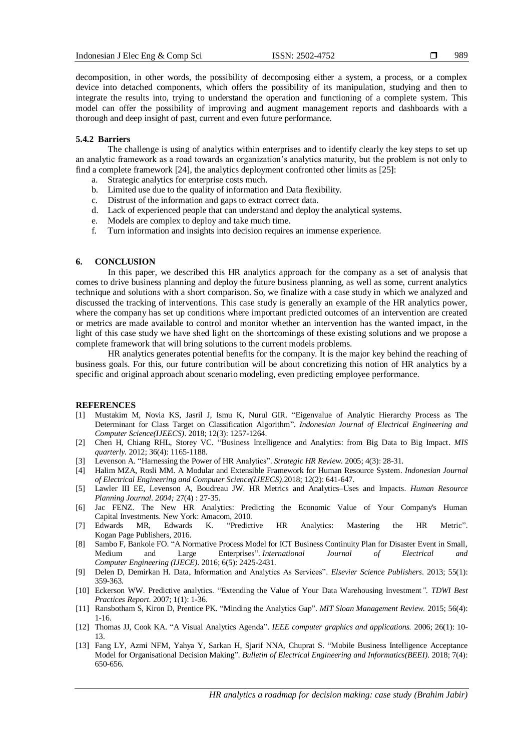decomposition, in other words, the possibility of decomposing either a system, a process, or a complex device into detached components, which offers the possibility of its manipulation, studying and then to integrate the results into, trying to understand the operation and functioning of a complete system. This model can offer the possibility of improving and augment management reports and dashboards with a thorough and deep insight of past, current and even future performance.

## **5.4.2 Barriers**

The challenge is using of analytics within enterprises and to identify clearly the key steps to set up an analytic framework as a road towards an organization's analytics maturity, but the problem is not only to find a complete framework [24], the analytics deployment confronted other limits as [25]:

- a. Strategic analytics for enterprise costs much.
- b. Limited use due to the quality of information and Data flexibility.
- c. Distrust of the information and gaps to extract correct data.
- d. Lack of experienced people that can understand and deploy the analytical systems.
- e. Models are complex to deploy and take much time.
- f. Turn information and insights into decision requires an immense experience.

## **6. CONCLUSION**

In this paper, we described this HR analytics approach for the company as a set of analysis that comes to drive business planning and deploy the future business planning, as well as some, current analytics technique and solutions with a short comparison. So, we finalize with a case study in which we analyzed and discussed the tracking of interventions. This case study is generally an example of the HR analytics power, where the company has set up conditions where important predicted outcomes of an intervention are created or metrics are made available to control and monitor whether an intervention has the wanted impact, in the light of this case study we have shed light on the shortcomings of these existing solutions and we propose a complete framework that will bring solutions to the current models problems.

HR analytics generates potential benefits for the company. It is the major key behind the reaching of business goals. For this, our future contribution will be about concretizing this notion of HR analytics by a specific and original approach about scenario modeling, even predicting employee performance.

## **REFERENCES**

- [1] Mustakim M, Novia KS, Jasril J, Ismu K, Nurul GIR. "Eigenvalue of Analytic Hierarchy Process as The Determinant for Class Target on Classification Algorithm". *Indonesian Journal of Electrical Engineering and Computer Science(IJEECS)*. 2018; 12(3): 1257-1264.
- [2] Chen H, Chiang RHL, Storey VC. "Business Intelligence and Analytics: from Big Data to Big Impact. *MIS quarterly.* 2012; 36(4): 1165-1188.
- [3] Levenson A. "Harnessing the Power of HR Analytics". *Strategic HR Review*. 2005; 4(3): 28-31.
- [4] Halim MZA, Rosli MM. A Modular and Extensible Framework for Human Resource System. *Indonesian Journal of Electrical Engineering and Computer Science(IJEECS)*.2018; 12(2): 641-647.
- [5] Lawler III EE, Levenson A, Boudreau JW. HR Metrics and Analytics–Uses and Impacts. *Human Resource Planning Journal. 2004;* 27(4) : 27-35.
- [6] Jac FENZ. The New HR Analytics: Predicting the Economic Value of Your Company's Human Capital Investments. New York: Amacom, 2010.
- [7] Edwards MR, Edwards K. "Predictive HR Analytics: Mastering the HR Metric". Kogan Page Publishers, 2016.
- [8] Sambo F, Bankole FO. "A Normative Process Model for ICT Business Continuity Plan for Disaster Event in Small, Medium and Large Enterprises". *International Journal of Electrical and Computer Engineering (IJECE)*. 2016; 6(5): 2425-2431.
- [9] Delen D, Demirkan H. Data, Information and Analytics As Services". *Elsevier Science Publishers*. 2013; 55(1): 359-363.
- [10] Eckerson WW. Predictive analytics. "Extending the Value of Your Data Warehousing Investment*". TDWI Best Practices Report*. 2007; 1(1): 1-36.
- [11] Ransbotham S, Kiron D, Prentice PK. "Minding the Analytics Gap". *MIT Sloan Management Review.* 2015; 56(4): 1-16.
- [12] Thomas JJ, Cook KA. "A Visual Analytics Agenda". *IEEE computer graphics and applications.* 2006; 26(1): 10- 13.
- [13] Fang LY, Azmi NFM, Yahya Y, Sarkan H, Sjarif NNA, Chuprat S. "Mobile Business Intelligence Acceptance Model for Organisational Decision Making". *Bulletin of Electrical Engineering and Informatics(BEEI)*. 2018; 7(4): 650-656.